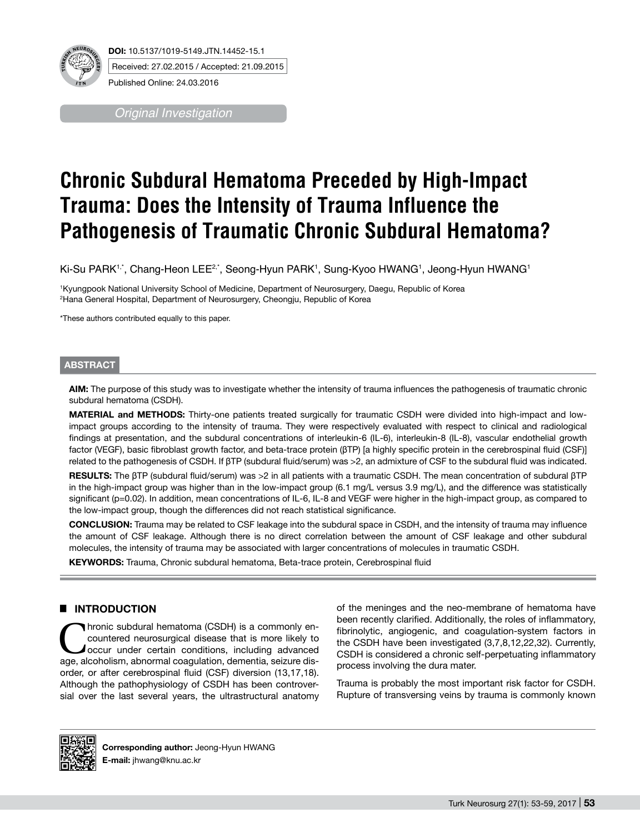

Published Online: 24.03.2016

*Original Investigation*

# **Chronic Subdural Hematoma Preceded by High-Impact Trauma: Does the Intensity of Trauma Influence the Pathogenesis of Traumatic Chronic Subdural Hematoma?**

Ki-Su PARK'<sub>'</sub>΄, Chang-Heon LEE<sup>2,</sup>΄, Seong-Hyun PARK', Sung-Kyoo HWANG', Jeong-Hyun HWANG'

1 Kyungpook National University School of Medicine, Department of Neurosurgery, Daegu, Republic of Korea 2 Hana General Hospital, Department of Neurosurgery, Cheongju, Republic of Korea

\*These authors contributed equally to this paper.

#### **ABSTRACT**

**AIm:** The purpose of this study was to investigate whether the intensity of trauma influences the pathogenesis of traumatic chronic subdural hematoma (CSDH).

**MATERIAL and METHODS:** Thirty-one patients treated surgically for traumatic CSDH were divided into high-impact and lowimpact groups according to the intensity of trauma. They were respectively evaluated with respect to clinical and radiological findings at presentation, and the subdural concentrations of interleukin-6 (IL-6), interleukin-8 (IL-8), vascular endothelial growth factor (VEGF), basic fibroblast growth factor, and beta-trace protein (βTP) [a highly specific protein in the cerebrospinal fluid (CSF)] related to the pathogenesis of CSDH. If βTP (subdural fluid/serum) was >2, an admixture of CSF to the subdural fluid was indicated.

**Results:** The βTP (subdural fluid/serum) was >2 in all patients with a traumatic CSDH. The mean concentration of subdural βTP in the high-impact group was higher than in the low-impact group (6.1 mg/L versus 3.9 mg/L), and the difference was statistically significant (p=0.02). In addition, mean concentrations of IL-6, IL-8 and VEGF were higher in the high-impact group, as compared to the low-impact group, though the differences did not reach statistical significance.

**ConclusIon:** Trauma may be related to CSF leakage into the subdural space in CSDH, and the intensity of trauma may influence the amount of CSF leakage. Although there is no direct correlation between the amount of CSF leakage and other subdural molecules, the intensity of trauma may be associated with larger concentrations of molecules in traumatic CSDH.

**Keywords:** Trauma, Chronic subdural hematoma, Beta-trace protein, Cerebrospinal fluid

## █ **INTRODUCTION**

Thronic subdural hematoma (CSDH) is a commonly encountered neurosurgical disease that is more likely to occur under certain conditions, including advanced countered neurosurgical disease that is more likely to age, alcoholism, abnormal coagulation, dementia, seizure disorder, or after cerebrospinal fluid (CSF) diversion (13,17,18). Although the pathophysiology of CSDH has been controversial over the last several years, the ultrastructural anatomy

of the meninges and the neo-membrane of hematoma have been recently clarified. Additionally, the roles of inflammatory, fibrinolytic, angiogenic, and coagulation-system factors in the CSDH have been investigated (3,7,8,12,22,32). Currently, CSDH is considered a chronic self-perpetuating inflammatory process involving the dura mater.

Trauma is probably the most important risk factor for CSDH. Rupture of transversing veins by trauma is commonly known



**Corresponding author:** Jeong-Hyun HWANG **E-mail:** jhwang@knu.ac.kr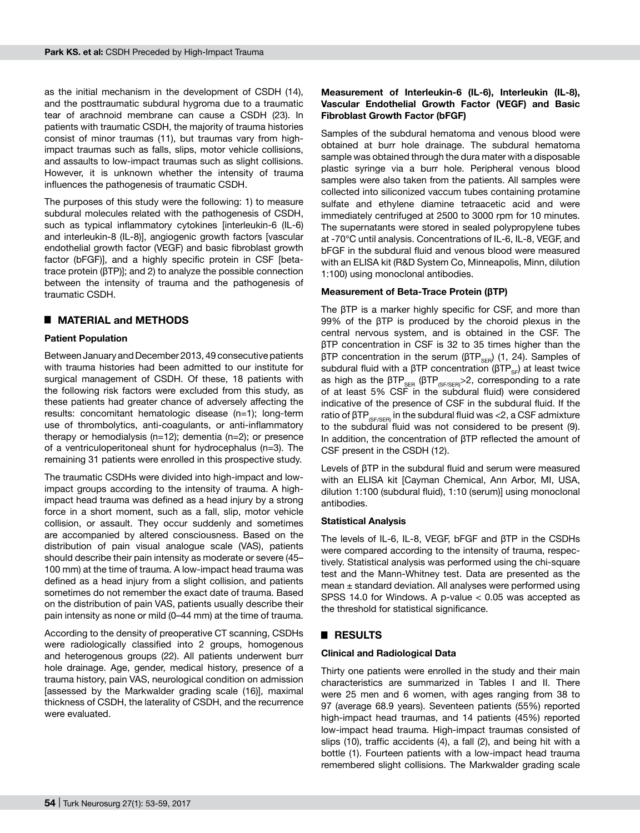as the initial mechanism in the development of CSDH (14), and the posttraumatic subdural hygroma due to a traumatic tear of arachnoid membrane can cause a CSDH (23). In patients with traumatic CSDH, the majority of trauma histories consist of minor traumas (11), but traumas vary from highimpact traumas such as falls, slips, motor vehicle collisions, and assaults to low-impact traumas such as slight collisions. However, it is unknown whether the intensity of trauma influences the pathogenesis of traumatic CSDH.

The purposes of this study were the following: 1) to measure subdural molecules related with the pathogenesis of CSDH, such as typical inflammatory cytokines linterleukin-6 (IL-6) and interleukin-8 (IL-8)], angiogenic growth factors [vascular endothelial growth factor (VEGF) and basic fibroblast growth factor (bFGF)], and a highly specific protein in CSF [betatrace protein (βTP)]; and 2) to analyze the possible connection between the intensity of trauma and the pathogenesis of traumatic CSDH.

## █ **MATERIAL and METHODS**

## **Patient Population**

Between January and December 2013, 49 consecutive patients with trauma histories had been admitted to our institute for surgical management of CSDH. Of these, 18 patients with the following risk factors were excluded from this study, as these patients had greater chance of adversely affecting the results: concomitant hematologic disease (n=1); long-term use of thrombolytics, anti-coagulants, or anti-inflammatory therapy or hemodialysis (n=12); dementia (n=2); or presence of a ventriculoperitoneal shunt for hydrocephalus (n=3). The remaining 31 patients were enrolled in this prospective study.

The traumatic CSDHs were divided into high-impact and lowimpact groups according to the intensity of trauma. A highimpact head trauma was defined as a head injury by a strong force in a short moment, such as a fall, slip, motor vehicle collision, or assault. They occur suddenly and sometimes are accompanied by altered consciousness. Based on the distribution of pain visual analogue scale (VAS), patients should describe their pain intensity as moderate or severe (45– 100 mm) at the time of trauma. A low-impact head trauma was defined as a head injury from a slight collision, and patients sometimes do not remember the exact date of trauma. Based on the distribution of pain VAS, patients usually describe their pain intensity as none or mild (0–44 mm) at the time of trauma.

According to the density of preoperative CT scanning, CSDHs were radiologically classified into 2 groups, homogenous and heterogenous groups (22). All patients underwent burr hole drainage. Age, gender, medical history, presence of a trauma history, pain VAS, neurological condition on admission [assessed by the Markwalder grading scale (16)], maximal thickness of CSDH, the laterality of CSDH, and the recurrence were evaluated.

## **Measurement of Interleukin-6 (IL-6), Interleukin (IL-8), Vascular Endothelial Growth Factor (VEGF) and Basic Fibroblast Growth Factor (bFGF)**

Samples of the subdural hematoma and venous blood were obtained at burr hole drainage. The subdural hematoma sample was obtained through the dura mater with a disposable plastic syringe via a burr hole. Peripheral venous blood samples were also taken from the patients. All samples were collected into siliconized vaccum tubes containing protamine sulfate and ethylene diamine tetraacetic acid and were immediately centrifuged at 2500 to 3000 rpm for 10 minutes. The supernatants were stored in sealed polypropylene tubes at -70℃ until analysis. Concentrations of IL-6, IL-8, VEGF, and bFGF in the subdural fluid and venous blood were measured with an ELISA kit (R&D System Co, Minneapolis, Minn, dilution 1:100) using monoclonal antibodies.

## **Measurement of Beta-Trace Protein (βTP)**

The βTP is a marker highly specific for CSF, and more than 99% of the βTP is produced by the choroid plexus in the central nervous system, and is obtained in the CSF. The βTP concentration in CSF is 32 to 35 times higher than the βTP concentration in the serum ( $\beta T P_{\text{SFR}}$ ) (1, 24). Samples of subdural fluid with a  $\beta$ TP concentration ( $\beta$ TP<sub>SF</sub>) at least twice as high as the  $\beta \text{TP}_{\text{SER}}$  ( $\beta \text{TP}_{\text{SFSER}}$ ) > 2, corresponding to a rate of at least 5% CSF in the subdural fluid) were considered indicative of the presence of CSF in the subdural fluid. If the ratio of  $\beta \text{TP}_{\text{SFSER}}$  in the subdural fluid was <2, a CSF admixture to the subdural fluid was not considered to be present (9). In addition, the concentration of βTP reflected the amount of CSF present in the CSDH (12).

Levels of βTP in the subdural fluid and serum were measured with an ELISA kit [Cayman Chemical, Ann Arbor, MI, USA, dilution 1:100 (subdural fluid), 1:10 (serum)] using monoclonal antibodies.

## **Statistical Analysis**

The levels of IL-6, IL-8, VEGF, bFGF and βTP in the CSDHs were compared according to the intensity of trauma, respectively. Statistical analysis was performed using the chi-square test and the Mann-Whitney test. Data are presented as the mean ± standard deviation. All analyses were performed using SPSS 14.0 for Windows. A p-value < 0.05 was accepted as the threshold for statistical significance.

# █ **RESULTS**

## **Clinical and Radiological Data**

Thirty one patients were enrolled in the study and their main characteristics are summarized in Tables I and II. There were 25 men and 6 women, with ages ranging from 38 to 97 (average 68.9 years). Seventeen patients (55%) reported high-impact head traumas, and 14 patients (45%) reported low-impact head trauma. High-impact traumas consisted of slips (10), traffic accidents (4), a fall (2), and being hit with a bottle (1). Fourteen patients with a low-impact head trauma remembered slight collisions. The Markwalder grading scale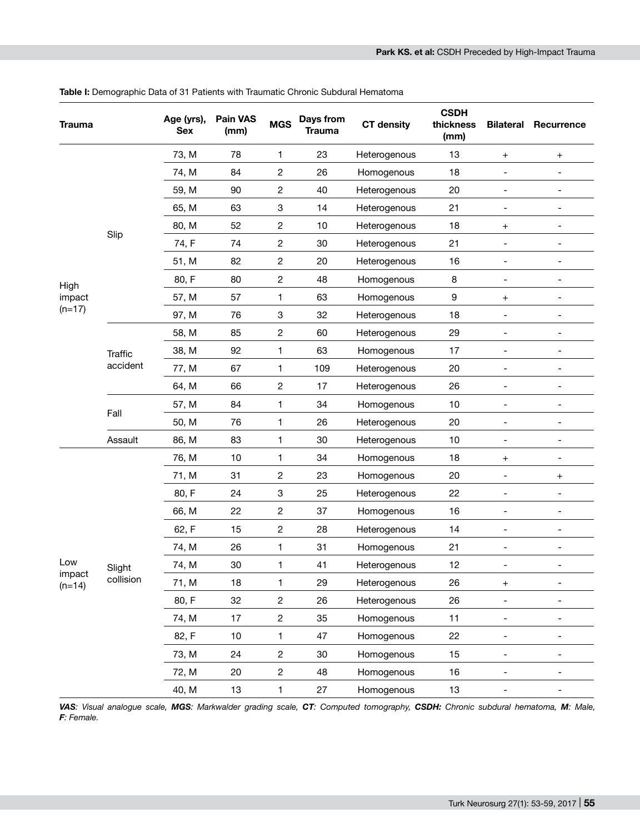| 73, M<br>78<br>23<br>13<br>1<br>Heterogenous<br>$\ddot{}$<br>$^+$<br>74, M<br>2<br>18<br>84<br>26<br>Homogenous<br>90<br>2<br>20<br>59, M<br>40<br>Heterogenous<br>$\overline{a}$<br>$\overline{\phantom{a}}$<br>63<br>3<br>21<br>65, M<br>14<br>Heterogenous<br>$\qquad \qquad \blacksquare$<br>$\qquad \qquad -$<br>$\overline{c}$<br>80, M<br>52<br>10<br>18<br>Heterogenous<br>$\ddot{}$<br>$\qquad \qquad \blacksquare$<br>Slip<br>74, F<br>74<br>2<br>30<br>21<br>Heterogenous<br>$\overline{\phantom{0}}$<br>$\overline{\phantom{a}}$<br>82<br>$\overline{c}$<br>16<br>51, M<br>20<br>Heterogenous<br>$\qquad \qquad -$<br>$\qquad \qquad \blacksquare$<br>80, F<br>$\overline{c}$<br>80<br>48<br>8<br>Homogenous<br>$\overline{a}$<br>High<br>63<br>9<br>57, M<br>57<br>1<br>impact<br>Homogenous<br>$\ddot{}$<br>$\overline{\phantom{a}}$<br>$(n=17)$ | Recurrence |
|----------------------------------------------------------------------------------------------------------------------------------------------------------------------------------------------------------------------------------------------------------------------------------------------------------------------------------------------------------------------------------------------------------------------------------------------------------------------------------------------------------------------------------------------------------------------------------------------------------------------------------------------------------------------------------------------------------------------------------------------------------------------------------------------------------------------------------------------------------------|------------|
|                                                                                                                                                                                                                                                                                                                                                                                                                                                                                                                                                                                                                                                                                                                                                                                                                                                                |            |
|                                                                                                                                                                                                                                                                                                                                                                                                                                                                                                                                                                                                                                                                                                                                                                                                                                                                |            |
|                                                                                                                                                                                                                                                                                                                                                                                                                                                                                                                                                                                                                                                                                                                                                                                                                                                                |            |
|                                                                                                                                                                                                                                                                                                                                                                                                                                                                                                                                                                                                                                                                                                                                                                                                                                                                |            |
|                                                                                                                                                                                                                                                                                                                                                                                                                                                                                                                                                                                                                                                                                                                                                                                                                                                                |            |
|                                                                                                                                                                                                                                                                                                                                                                                                                                                                                                                                                                                                                                                                                                                                                                                                                                                                |            |
|                                                                                                                                                                                                                                                                                                                                                                                                                                                                                                                                                                                                                                                                                                                                                                                                                                                                |            |
|                                                                                                                                                                                                                                                                                                                                                                                                                                                                                                                                                                                                                                                                                                                                                                                                                                                                |            |
|                                                                                                                                                                                                                                                                                                                                                                                                                                                                                                                                                                                                                                                                                                                                                                                                                                                                |            |
| 76<br>3<br>32<br>18<br>97, M<br>Heterogenous<br>$\overline{\phantom{0}}$<br>-                                                                                                                                                                                                                                                                                                                                                                                                                                                                                                                                                                                                                                                                                                                                                                                  |            |
| $\overline{c}$<br>58, M<br>85<br>60<br>29<br>Heterogenous<br>$\overline{\phantom{a}}$<br>$\qquad \qquad -$                                                                                                                                                                                                                                                                                                                                                                                                                                                                                                                                                                                                                                                                                                                                                     |            |
| 38, M<br>92<br>63<br>17<br>1<br>Homogenous<br>$\overline{\phantom{0}}$<br>$\overline{\phantom{a}}$<br><b>Traffic</b>                                                                                                                                                                                                                                                                                                                                                                                                                                                                                                                                                                                                                                                                                                                                           |            |
| accident<br>77, M<br>67<br>1<br>109<br>20<br>Heterogenous<br>$\overline{\phantom{0}}$<br>$\overline{\phantom{a}}$                                                                                                                                                                                                                                                                                                                                                                                                                                                                                                                                                                                                                                                                                                                                              |            |
| 2<br>64, M<br>66<br>17<br>26<br>Heterogenous                                                                                                                                                                                                                                                                                                                                                                                                                                                                                                                                                                                                                                                                                                                                                                                                                   |            |
| 10<br>57, M<br>84<br>1<br>34<br>Homogenous<br>$\overline{a}$<br>$\qquad \qquad -$                                                                                                                                                                                                                                                                                                                                                                                                                                                                                                                                                                                                                                                                                                                                                                              |            |
| Fall<br>76<br>26<br>20<br>50, M<br>1<br>Heterogenous<br>$\overline{\phantom{0}}$<br>$\qquad \qquad \blacksquare$                                                                                                                                                                                                                                                                                                                                                                                                                                                                                                                                                                                                                                                                                                                                               |            |
| Assault<br>86, M<br>83<br>30<br>10<br>1<br>Heterogenous<br>$\overline{a}$<br>$\qquad \qquad -$                                                                                                                                                                                                                                                                                                                                                                                                                                                                                                                                                                                                                                                                                                                                                                 |            |
| 10<br>76, M<br>1<br>34<br>18<br>Homogenous<br>$^{+}$<br>$\overline{\phantom{a}}$                                                                                                                                                                                                                                                                                                                                                                                                                                                                                                                                                                                                                                                                                                                                                                               |            |
| 71, M<br>31<br>2<br>23<br>20<br>Homogenous<br>-<br>$^+$                                                                                                                                                                                                                                                                                                                                                                                                                                                                                                                                                                                                                                                                                                                                                                                                        |            |
| 80, F<br>24<br>3<br>25<br>22<br>Heterogenous<br>$\qquad \qquad \blacksquare$<br>$\overline{\phantom{a}}$                                                                                                                                                                                                                                                                                                                                                                                                                                                                                                                                                                                                                                                                                                                                                       |            |
| 22<br>2<br>16<br>66, M<br>37<br>Homogenous<br>$\overline{a}$<br>$\overline{a}$                                                                                                                                                                                                                                                                                                                                                                                                                                                                                                                                                                                                                                                                                                                                                                                 |            |
| 62, F<br>2<br>15<br>28<br>14<br>Heterogenous<br>-                                                                                                                                                                                                                                                                                                                                                                                                                                                                                                                                                                                                                                                                                                                                                                                                              |            |
| 74, M<br>26<br>1<br>31<br>21<br>Homogenous<br>$\overline{\phantom{a}}$<br>$\overline{a}$                                                                                                                                                                                                                                                                                                                                                                                                                                                                                                                                                                                                                                                                                                                                                                       |            |
| Low<br>30<br>1<br>41<br>12<br>74, M<br>Heterogenous<br>$\overline{a}$<br>Slight                                                                                                                                                                                                                                                                                                                                                                                                                                                                                                                                                                                                                                                                                                                                                                                |            |
| impact<br>collision<br>71, M<br>18<br>29<br>1<br>26<br>Heterogenous<br>$\ddot{}$<br>$(n=14)$<br>-                                                                                                                                                                                                                                                                                                                                                                                                                                                                                                                                                                                                                                                                                                                                                              |            |
| 80, F<br>32<br>$\overline{c}$<br>26<br>26<br>Heterogenous                                                                                                                                                                                                                                                                                                                                                                                                                                                                                                                                                                                                                                                                                                                                                                                                      |            |
| $\overline{c}$<br>17<br>35<br>11<br>74, M<br>Homogenous<br>$\qquad \qquad -$<br>$\overline{\phantom{m}}$                                                                                                                                                                                                                                                                                                                                                                                                                                                                                                                                                                                                                                                                                                                                                       |            |
| 82, F<br>$10$<br>47<br>22<br>Homogenous<br>1<br>-                                                                                                                                                                                                                                                                                                                                                                                                                                                                                                                                                                                                                                                                                                                                                                                                              |            |
| $\overline{c}$<br>73, M<br>24<br>$30\,$<br>Homogenous<br>15<br>$\overline{\phantom{0}}$<br>$\overline{\phantom{0}}$                                                                                                                                                                                                                                                                                                                                                                                                                                                                                                                                                                                                                                                                                                                                            |            |
| $\overline{c}$<br>72, M<br>20<br>48<br>Homogenous<br>16<br>$\qquad \qquad \blacksquare$<br>$\overline{\phantom{a}}$                                                                                                                                                                                                                                                                                                                                                                                                                                                                                                                                                                                                                                                                                                                                            |            |
| 40, M<br>13<br>1<br>27<br>Homogenous<br>13<br>$\overline{\phantom{a}}$<br>$\overline{\phantom{a}}$                                                                                                                                                                                                                                                                                                                                                                                                                                                                                                                                                                                                                                                                                                                                                             |            |

**Table I:** Demographic Data of 31 Patients with Traumatic Chronic Subdural Hematoma

*VAS: Visual analogue scale, MGS: Markwalder grading scale, CT: Computed tomography, CSDH: Chronic subdural hematoma, M: Male, F: Female.*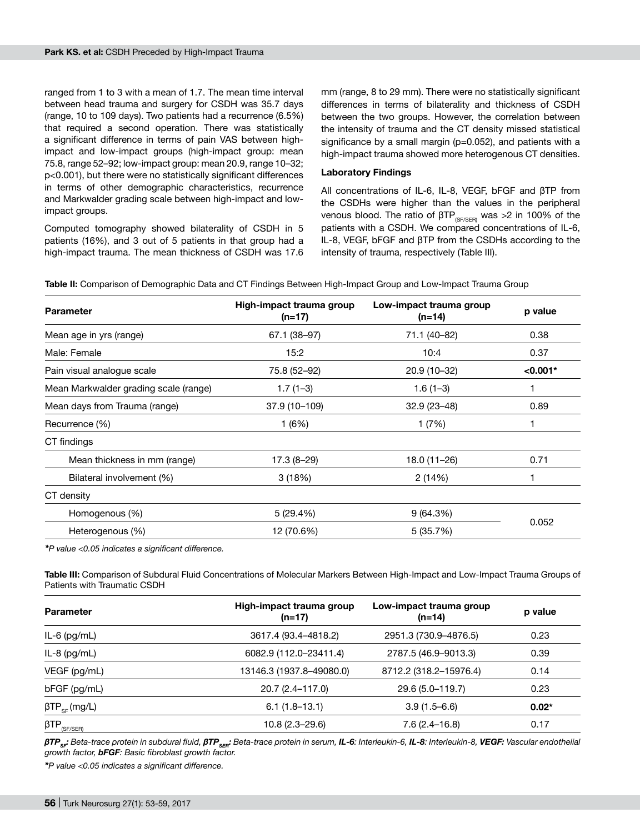ranged from 1 to 3 with a mean of 1.7. The mean time interval between head trauma and surgery for CSDH was 35.7 days (range, 10 to 109 days). Two patients had a recurrence (6.5%) that required a second operation. There was statistically a significant difference in terms of pain VAS between highimpact and low-impact groups (high-impact group: mean 75.8, range 52–92; low-impact group: mean 20.9, range 10–32; p<0.001), but there were no statistically significant differences in terms of other demographic characteristics, recurrence and Markwalder grading scale between high-impact and lowimpact groups.

Computed tomography showed bilaterality of CSDH in 5 patients (16%), and 3 out of 5 patients in that group had a high-impact trauma. The mean thickness of CSDH was 17.6 mm (range, 8 to 29 mm). There were no statistically significant differences in terms of bilaterality and thickness of CSDH between the two groups. However, the correlation between the intensity of trauma and the CT density missed statistical significance by a small margin (p=0.052), and patients with a high-impact trauma showed more heterogenous CT densities.

#### **Laboratory Findings**

All concentrations of IL-6, IL-8, VEGF, bFGF and βTP from the CSDHs were higher than the values in the peripheral venous blood. The ratio of  $\beta T P_{(S F/SER)}$  was >2 in 100% of the patients with a CSDH. We compared concentrations of IL-6, IL-8, VEGF, bFGF and βTP from the CSDHs according to the intensity of trauma, respectively (Table III).

| <b>Parameter</b>                      | High-impact trauma group<br>$(n=17)$ | Low-impact trauma group<br>$(n=14)$ | p value    |  |
|---------------------------------------|--------------------------------------|-------------------------------------|------------|--|
| Mean age in yrs (range)               | 67.1 (38-97)                         | 71.1 (40-82)                        | 0.38       |  |
| Male: Female                          | 15:2                                 | 10:4                                | 0.37       |  |
| Pain visual analogue scale            | 75.8 (52-92)                         | 20.9 (10-32)                        | $< 0.001*$ |  |
| Mean Markwalder grading scale (range) | $1.7(1-3)$                           | $1.6(1-3)$                          |            |  |
| Mean days from Trauma (range)         | 37.9 (10-109)                        | $32.9(23 - 48)$                     | 0.89       |  |
| Recurrence (%)                        | 1(6%)                                | 1 (7%)                              |            |  |
| CT findings                           |                                      |                                     |            |  |
| Mean thickness in mm (range)          | $17.3(8-29)$                         | 18.0 (11-26)                        | 0.71       |  |
| Bilateral involvement (%)             | 3(18%)                               | 2(14%)                              | 1          |  |
| CT density                            |                                      |                                     |            |  |
| Homogenous (%)                        | 5(29.4%)                             | 9(64.3%)                            |            |  |
| Heterogenous (%)                      | 12 (70.6%)                           | 5 (35.7%)                           | 0.052      |  |

Table II: Comparison of Demographic Data and CT Findings Between High-Impact Group and Low-Impact Trauma Group

*\*P value <0.05 indicates a significant difference.*

**Table III:** Comparison of Subdural Fluid Concentrations of Molecular Markers Between High-Impact and Low-Impact Trauma Groups of Patients with Traumatic CSDH

| <b>Parameter</b>                           | High-impact trauma group<br>$(n=17)$ | Low-impact trauma group<br>$(n=14)$ | p value |
|--------------------------------------------|--------------------------------------|-------------------------------------|---------|
| IL-6 $(pg/mL)$                             | 3617.4 (93.4–4818.2)                 | 2951.3 (730.9–4876.5)               | 0.23    |
| $IL-8$ (pg/mL)                             | 6082.9 (112.0-23411.4)               | 2787.5 (46.9-9013.3)                | 0.39    |
| VEGF (pg/mL)                               | 13146.3 (1937.8–49080.0)             | 8712.2 (318.2-15976.4)              | 0.14    |
| $bFGF$ (pg/mL)                             | 20.7 (2.4-117.0)                     | 29.6 (5.0–119.7)                    | 0.23    |
| $\beta \text{TP}_{\text{SF}}$ (mg/L)       | $6.1(1.8-13.1)$                      | $3.9(1.5-6.6)$                      | $0.02*$ |
| $\beta \text{TP}_{\text{\tiny (SFT/SER)}}$ | 10.8 (2.3–29.6)                      | $7.6(2.4-16.8)$                     | 0.17    |

βTP<sub>sr</sub>: Beta-trace protein in subdural fluid, βTP<sub>srr</sub>: Beta-trace protein in serum, **IL-6**: Interleukin-6, **IL-8**: Interleukin-8, **VEGF:** Vascular endothelial *growth factor, bFGF: Basic fibroblast growth factor.*

*\*P value <0.05 indicates a significant difference.*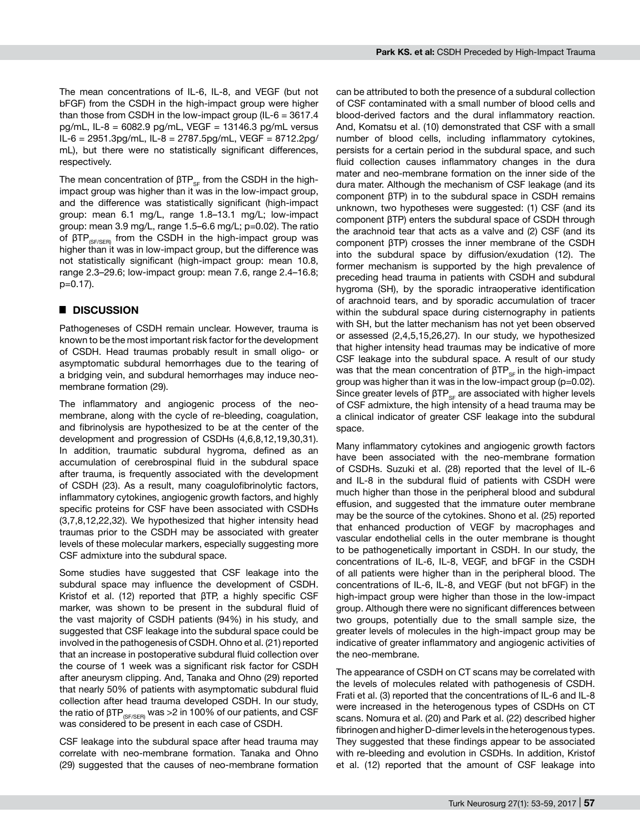The mean concentrations of IL-6, IL-8, and VEGF (but not bFGF) from the CSDH in the high-impact group were higher than those from CSDH in the low-impact group (IL- $6 = 3617.4$ ) pg/mL, IL-8 = 6082.9 pg/mL, VEGF = 13146.3 pg/mL versus IL-6 = 2951.3pg/mL, IL-8 = 2787.5pg/mL, VEGF = 8712.2pg/ mL), but there were no statistically significant differences, respectively.

The mean concentration of  $\beta T P_{\text{sc}}$  from the CSDH in the highimpact group was higher than it was in the low-impact group, and the difference was statistically significant (high-impact group: mean 6.1 mg/L, range 1.8–13.1 mg/L; low-impact group: mean 3.9 mg/L, range 1.5–6.6 mg/L; p=0.02). The ratio of  $βTP_{SFLSFR}$  from the CSDH in the high-impact group was higher than it was in low-impact group, but the difference was not statistically significant (high-impact group: mean 10.8, range 2.3–29.6; low-impact group: mean 7.6, range 2.4–16.8; p=0.17).

## █ **DISCUSSION**

Pathogeneses of CSDH remain unclear. However, trauma is known to be the most important risk factor for the development of CSDH. Head traumas probably result in small oligo- or asymptomatic subdural hemorrhages due to the tearing of a bridging vein, and subdural hemorrhages may induce neomembrane formation (29).

The inflammatory and angiogenic process of the neomembrane, along with the cycle of re-bleeding, coagulation, and fibrinolysis are hypothesized to be at the center of the development and progression of CSDHs (4,6,8,12,19,30,31). In addition, traumatic subdural hygroma, defined as an accumulation of cerebrospinal fluid in the subdural space after trauma, is frequently associated with the development of CSDH (23). As a result, many coagulofibrinolytic factors, inflammatory cytokines, angiogenic growth factors, and highly specific proteins for CSF have been associated with CSDHs (3,7,8,12,22,32). We hypothesized that higher intensity head traumas prior to the CSDH may be associated with greater levels of these molecular markers, especially suggesting more CSF admixture into the subdural space.

Some studies have suggested that CSF leakage into the subdural space may influence the development of CSDH. Kristof et al. (12) reported that βTP, a highly specific CSF marker, was shown to be present in the subdural fluid of the vast majority of CSDH patients (94%) in his study, and suggested that CSF leakage into the subdural space could be involved in the pathogenesis of CSDH. Ohno et al. (21) reported that an increase in postoperative subdural fluid collection over the course of 1 week was a significant risk factor for CSDH after aneurysm clipping. And, Tanaka and Ohno (29) reported that nearly 50% of patients with asymptomatic subdural fluid collection after head trauma developed CSDH. In our study, the ratio of  $\beta \text{TP}_{\text{\tiny (SFSER)}}$  was >2 in 100% of our patients, and CSF was considered to be present in each case of CSDH.

CSF leakage into the subdural space after head trauma may correlate with neo-membrane formation. Tanaka and Ohno (29) suggested that the causes of neo-membrane formation can be attributed to both the presence of a subdural collection of CSF contaminated with a small number of blood cells and blood-derived factors and the dural inflammatory reaction. And, Komatsu et al. (10) demonstrated that CSF with a small number of blood cells, including inflammatory cytokines, persists for a certain period in the subdural space, and such fluid collection causes inflammatory changes in the dura mater and neo-membrane formation on the inner side of the dura mater. Although the mechanism of CSF leakage (and its component βTP) in to the subdural space in CSDH remains unknown, two hypotheses were suggested: (1) CSF (and its component βTP) enters the subdural space of CSDH through the arachnoid tear that acts as a valve and (2) CSF (and its component βTP) crosses the inner membrane of the CSDH into the subdural space by diffusion/exudation (12). The former mechanism is supported by the high prevalence of preceding head trauma in patients with CSDH and subdural hygroma (SH), by the sporadic intraoperative identification of arachnoid tears, and by sporadic accumulation of tracer within the subdural space during cisternography in patients with SH, but the latter mechanism has not yet been observed or assessed (2,4,5,15,26,27). In our study, we hypothesized that higher intensity head traumas may be indicative of more CSF leakage into the subdural space. A result of our study was that the mean concentration of  $βTP_{sF}$  in the high-impact group was higher than it was in the low-impact group (p=0.02). Since greater levels of  $\beta T P_{SF}$  are associated with higher levels of CSF admixture, the high intensity of a head trauma may be a clinical indicator of greater CSF leakage into the subdural space.

Many inflammatory cytokines and angiogenic growth factors have been associated with the neo-membrane formation of CSDHs. Suzuki et al. (28) reported that the level of IL-6 and IL-8 in the subdural fluid of patients with CSDH were much higher than those in the peripheral blood and subdural effusion, and suggested that the immature outer membrane may be the source of the cytokines. Shono et al. (25) reported that enhanced production of VEGF by macrophages and vascular endothelial cells in the outer membrane is thought to be pathogenetically important in CSDH. In our study, the concentrations of IL-6, IL-8, VEGF, and bFGF in the CSDH of all patients were higher than in the peripheral blood. The concentrations of IL-6, IL-8, and VEGF (but not bFGF) in the high-impact group were higher than those in the low-impact group. Although there were no significant differences between two groups, potentially due to the small sample size, the greater levels of molecules in the high-impact group may be indicative of greater inflammatory and angiogenic activities of the neo-membrane.

The appearance of CSDH on CT scans may be correlated with the levels of molecules related with pathogenesis of CSDH. Frati et al. (3) reported that the concentrations of IL-6 and IL-8 were increased in the heterogenous types of CSDHs on CT scans. Nomura et al. (20) and Park et al. (22) described higher fibrinogen and higher D-dimer levels in the heterogenous types. They suggested that these findings appear to be associated with re-bleeding and evolution in CSDHs. In addition, Kristof et al. (12) reported that the amount of CSF leakage into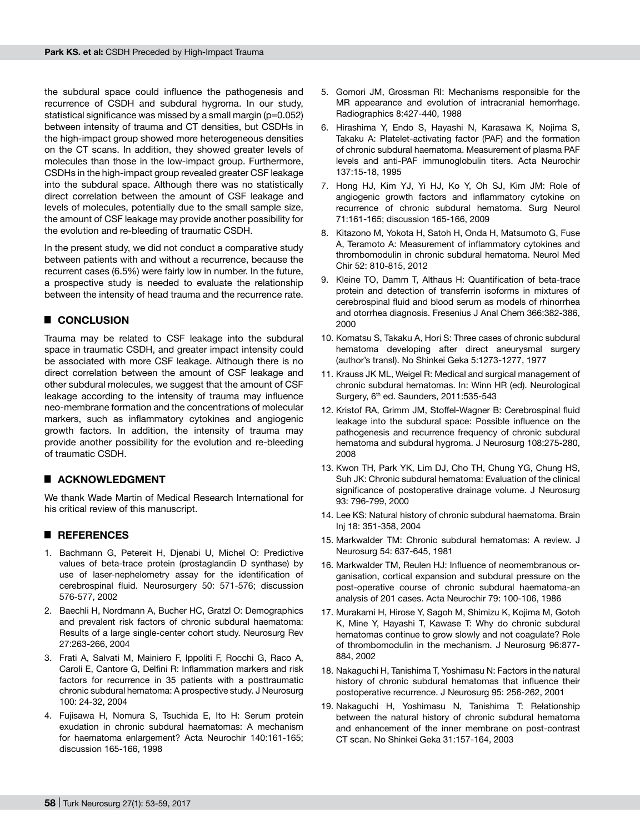the subdural space could influence the pathogenesis and recurrence of CSDH and subdural hygroma. In our study, statistical significance was missed by a small margin (p=0.052) between intensity of trauma and CT densities, but CSDHs in the high-impact group showed more heterogeneous densities on the CT scans. In addition, they showed greater levels of molecules than those in the low-impact group. Furthermore, CSDHs in the high-impact group revealed greater CSF leakage into the subdural space. Although there was no statistically direct correlation between the amount of CSF leakage and levels of molecules, potentially due to the small sample size, the amount of CSF leakage may provide another possibility for the evolution and re-bleeding of traumatic CSDH.

In the present study, we did not conduct a comparative study between patients with and without a recurrence, because the recurrent cases (6.5%) were fairly low in number. In the future, a prospective study is needed to evaluate the relationship between the intensity of head trauma and the recurrence rate.

# █ **CONCLUSION**

Trauma may be related to CSF leakage into the subdural space in traumatic CSDH, and greater impact intensity could be associated with more CSF leakage. Although there is no direct correlation between the amount of CSF leakage and other subdural molecules, we suggest that the amount of CSF leakage according to the intensity of trauma may influence neo-membrane formation and the concentrations of molecular markers, such as inflammatory cytokines and angiogenic growth factors. In addition, the intensity of trauma may provide another possibility for the evolution and re-bleeding of traumatic CSDH.

## █ **ACKNOWLEDGMENT**

We thank Wade Martin of Medical Research International for his critical review of this manuscript.

## █ **REFERENCES**

- 1. Bachmann G, Petereit H, Djenabi U, Michel O: Predictive values of beta-trace protein (prostaglandin D synthase) by use of laser-nephelometry assay for the identification of cerebrospinal fluid. Neurosurgery 50: 571-576; discussion 576-577, 2002
- 2. Baechli H, Nordmann A, Bucher HC, Gratzl O: Demographics and prevalent risk factors of chronic subdural haematoma: Results of a large single-center cohort study. Neurosurg Rev 27:263-266, 2004
- 3. Frati A, Salvati M, Mainiero F, Ippoliti F, Rocchi G, Raco A, Caroli E, Cantore G, Delfini R: Inflammation markers and risk factors for recurrence in 35 patients with a posttraumatic chronic subdural hematoma: A prospective study. J Neurosurg 100: 24-32, 2004
- 4. Fujisawa H, Nomura S, Tsuchida E, Ito H: Serum protein exudation in chronic subdural haematomas: A mechanism for haematoma enlargement? Acta Neurochir 140:161-165; discussion 165-166, 1998
- 5. Gomori JM, Grossman RI: Mechanisms responsible for the MR appearance and evolution of intracranial hemorrhage. Radiographics 8:427-440, 1988
- 6. Hirashima Y, Endo S, Hayashi N, Karasawa K, Nojima S, Takaku A: Platelet-activating factor (PAF) and the formation of chronic subdural haematoma. Measurement of plasma PAF levels and anti-PAF immunoglobulin titers. Acta Neurochir 137:15-18, 1995
- 7. Hong HJ, Kim YJ, Yi HJ, Ko Y, Oh SJ, Kim JM: Role of angiogenic growth factors and inflammatory cytokine on recurrence of chronic subdural hematoma. Surg Neurol 71:161-165; discussion 165-166, 2009
- 8. Kitazono M, Yokota H, Satoh H, Onda H, Matsumoto G, Fuse A, Teramoto A: Measurement of inflammatory cytokines and thrombomodulin in chronic subdural hematoma. Neurol Med Chir 52: 810-815, 2012
- 9. Kleine TO, Damm T, Althaus H: Quantification of beta-trace protein and detection of transferrin isoforms in mixtures of cerebrospinal fluid and blood serum as models of rhinorrhea and otorrhea diagnosis. Fresenius J Anal Chem 366:382-386, 2000
- 10. Komatsu S, Takaku A, Hori S: Three cases of chronic subdural hematoma developing after direct aneurysmal surgery (author's transl). No Shinkei Geka 5:1273-1277, 1977
- 11. Krauss JK ML, Weigel R: Medical and surgical management of chronic subdural hematomas. In: Winn HR (ed). Neurological Surgery, 6<sup>th</sup> ed. Saunders, 2011:535-543
- 12. Kristof RA, Grimm JM, Stoffel-Wagner B: Cerebrospinal fluid leakage into the subdural space: Possible influence on the pathogenesis and recurrence frequency of chronic subdural hematoma and subdural hygroma. J Neurosurg 108:275-280, 2008
- 13. Kwon TH, Park YK, Lim DJ, Cho TH, Chung YG, Chung HS, Suh JK: Chronic subdural hematoma: Evaluation of the clinical significance of postoperative drainage volume. J Neurosurg 93: 796-799, 2000
- 14. Lee KS: Natural history of chronic subdural haematoma. Brain Inj 18: 351-358, 2004
- 15. Markwalder TM: Chronic subdural hematomas: A review. J Neurosurg 54: 637-645, 1981
- 16. Markwalder TM, Reulen HJ: Influence of neomembranous organisation, cortical expansion and subdural pressure on the post-operative course of chronic subdural haematoma-an analysis of 201 cases. Acta Neurochir 79: 100-106, 1986
- 17. Murakami H, Hirose Y, Sagoh M, Shimizu K, Kojima M, Gotoh K, Mine Y, Hayashi T, Kawase T: Why do chronic subdural hematomas continue to grow slowly and not coagulate? Role of thrombomodulin in the mechanism. J Neurosurg 96:877- 884, 2002
- 18. Nakaguchi H, Tanishima T, Yoshimasu N: Factors in the natural history of chronic subdural hematomas that influence their postoperative recurrence. J Neurosurg 95: 256-262, 2001
- 19. Nakaguchi H, Yoshimasu N, Tanishima T: Relationship between the natural history of chronic subdural hematoma and enhancement of the inner membrane on post-contrast CT scan. No Shinkei Geka 31:157-164, 2003